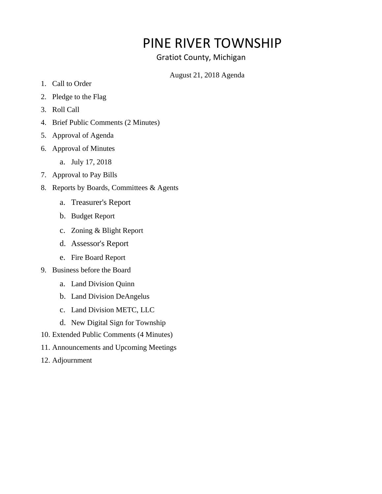# PINE RIVER TOWNSHIP

## Gratiot County, Michigan

### August 21, 2018 Agenda

- 1. Call to Order
- 2. Pledge to the Flag
- 3. Roll Call
- 4. Brief Public Comments (2 Minutes)
- 5. Approval of Agenda
- 6. Approval of Minutes
	- a. July 17, 2018
- 7. Approval to Pay Bills
- 8. Reports by Boards, Committees & Agents
	- a. Treasurer's Report
	- b. Budget Report
	- c. Zoning & Blight Report
	- d. Assessor's Report
	- e. Fire Board Report
- 9. Business before the Board
	- a. Land Division Quinn
	- b. Land Division DeAngelus
	- c. Land Division METC, LLC
	- d. New Digital Sign for Township
- 10. Extended Public Comments (4 Minutes)
- 11. Announcements and Upcoming Meetings
- 12. Adjournment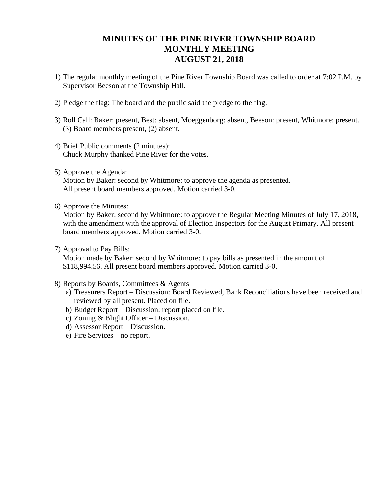## **MINUTES OF THE PINE RIVER TOWNSHIP BOARD MONTHLY MEETING AUGUST 21, 2018**

- 1) The regular monthly meeting of the Pine River Township Board was called to order at 7:02 P.M. by Supervisor Beeson at the Township Hall.
- 2) Pledge the flag: The board and the public said the pledge to the flag.
- 3) Roll Call: Baker: present, Best: absent, Moeggenborg: absent, Beeson: present, Whitmore: present. (3) Board members present, (2) absent.
- 4) Brief Public comments (2 minutes): Chuck Murphy thanked Pine River for the votes.
- 5) Approve the Agenda:

Motion by Baker: second by Whitmore: to approve the agenda as presented. All present board members approved. Motion carried 3-0.

6) Approve the Minutes:

Motion by Baker: second by Whitmore: to approve the Regular Meeting Minutes of July 17, 2018, with the amendment with the approval of Election Inspectors for the August Primary. All present board members approved. Motion carried 3-0.

7) Approval to Pay Bills:

Motion made by Baker: second by Whitmore: to pay bills as presented in the amount of \$118,994.56. All present board members approved. Motion carried 3-0.

- 8) Reports by Boards, Committees & Agents
	- a) Treasurers Report Discussion: Board Reviewed, Bank Reconciliations have been received and reviewed by all present. Placed on file.
	- b) Budget Report Discussion: report placed on file.
	- c) Zoning & Blight Officer Discussion.
	- d) Assessor Report Discussion.
	- e) Fire Services no report.